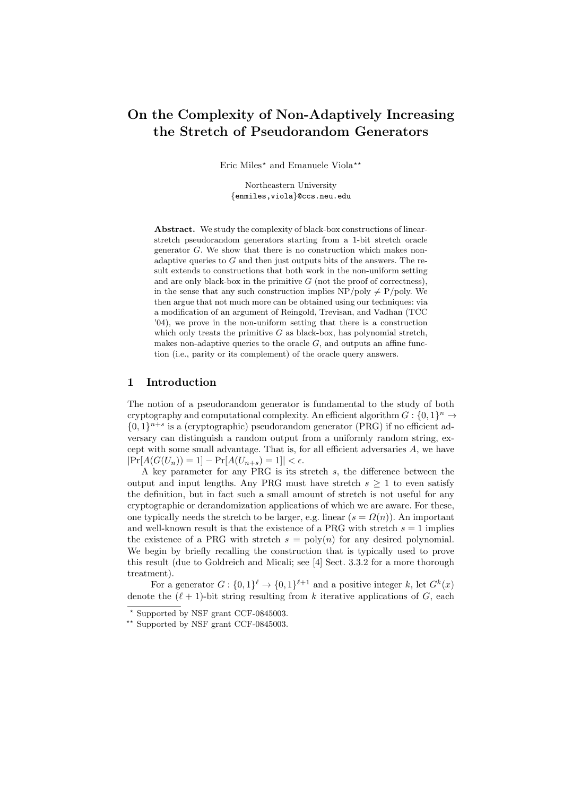# On the Complexity of Non-Adaptively Increasing the Stretch of Pseudorandom Generators

 $\operatorname{Eric}$  Miles\* and Emanuele Viola\*\*

Northeastern University {enmiles,viola}@ccs.neu.edu

Abstract. We study the complexity of black-box constructions of linearstretch pseudorandom generators starting from a 1-bit stretch oracle generator G. We show that there is no construction which makes nonadaptive queries to  $G$  and then just outputs bits of the answers. The result extends to constructions that both work in the non-uniform setting and are only black-box in the primitive  $G$  (not the proof of correctness), in the sense that any such construction implies  $NP/poly \neq P/poly$ . We then argue that not much more can be obtained using our techniques: via a modification of an argument of Reingold, Trevisan, and Vadhan (TCC '04), we prove in the non-uniform setting that there is a construction which only treats the primitive  $G$  as black-box, has polynomial stretch, makes non-adaptive queries to the oracle  $G$ , and outputs an affine function (i.e., parity or its complement) of the oracle query answers.

## 1 Introduction

The notion of a pseudorandom generator is fundamental to the study of both cryptography and computational complexity. An efficient algorithm  $G: \{0,1\}^n \to$  $\{0,1\}^{n+s}$  is a (cryptographic) pseudorandom generator (PRG) if no efficient adversary can distinguish a random output from a uniformly random string, except with some small advantage. That is, for all efficient adversaries A, we have  $|\Pr[A(G(U_n)) = 1] - \Pr[A(U_{n+s}) = 1]| < \epsilon.$ 

A key parameter for any PRG is its stretch s, the difference between the output and input lengths. Any PRG must have stretch  $s \geq 1$  to even satisfy the definition, but in fact such a small amount of stretch is not useful for any cryptographic or derandomization applications of which we are aware. For these, one typically needs the stretch to be larger, e.g. linear  $(s = \Omega(n))$ . An important and well-known result is that the existence of a PRG with stretch  $s = 1$  implies the existence of a PRG with stretch  $s = \text{poly}(n)$  for any desired polynomial. We begin by briefly recalling the construction that is typically used to prove this result (due to Goldreich and Micali; see [4] Sect. 3.3.2 for a more thorough treatment).

For a generator  $G: \{0,1\}^{\ell} \to \{0,1\}^{\ell+1}$  and a positive integer k, let  $G^k(x)$ denote the  $(\ell + 1)$ -bit string resulting from k iterative applications of G, each

<sup>?</sup> Supported by NSF grant CCF-0845003.

<sup>\*\*</sup> Supported by NSF grant CCF-0845003.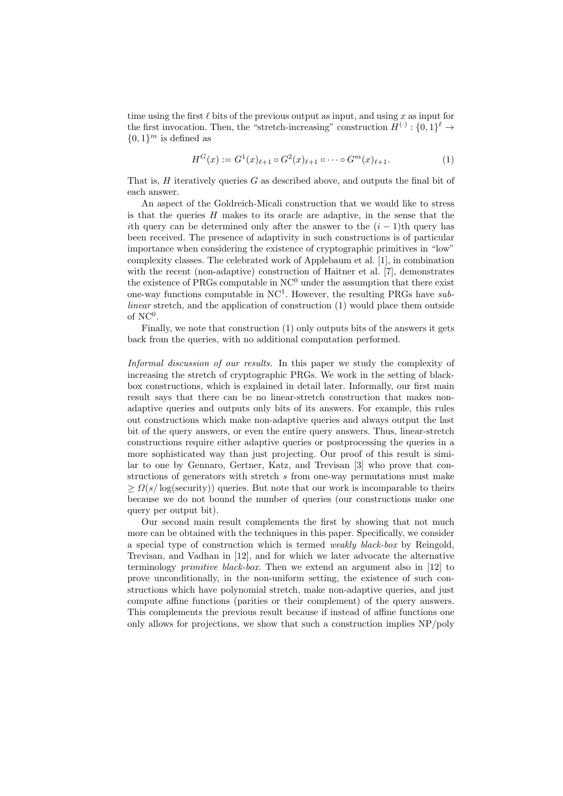time using the first  $\ell$  bits of the previous output as input, and using x as input for the first invocation. Then, the "stretch-increasing" construction  $H^{(\cdot)}: \{0,1\}^{\ell} \to$  $\{0,1\}^m$  is defined as

$$
H^{G}(x) := G^{1}(x)_{\ell+1} \circ G^{2}(x)_{\ell+1} \circ \cdots \circ G^{m}(x)_{\ell+1}.
$$
 (1)

That is,  $H$  iteratively queries  $G$  as described above, and outputs the final bit of each answer.

An aspect of the Goldreich-Micali construction that we would like to stress is that the queries  $H$  makes to its oracle are adaptive, in the sense that the ith query can be determined only after the answer to the  $(i - 1)$ th query has been received. The presence of adaptivity in such constructions is of particular importance when considering the existence of cryptographic primitives in "low" complexity classes. The celebrated work of Applebaum et al. [1], in combination with the recent (non-adaptive) construction of Haitner et al. [7], demonstrates the existence of PRGs computable in  $NC<sup>0</sup>$  under the assumption that there exist one-way functions computable in  $NC<sup>1</sup>$ . However, the resulting PRGs have sublinear stretch, and the application of construction (1) would place them outside of  $NC<sup>0</sup>$ .

Finally, we note that construction (1) only outputs bits of the answers it gets back from the queries, with no additional computation performed.

Informal discussion of our results. In this paper we study the complexity of increasing the stretch of cryptographic PRGs. We work in the setting of blackbox constructions, which is explained in detail later. Informally, our first main result says that there can be no linear-stretch construction that makes nonadaptive queries and outputs only bits of its answers. For example, this rules out constructions which make non-adaptive queries and always output the last bit of the query answers, or even the entire query answers. Thus, linear-stretch constructions require either adaptive queries or postprocessing the queries in a more sophisticated way than just projecting. Our proof of this result is similar to one by Gennaro, Gertner, Katz, and Trevisan [3] who prove that constructions of generators with stretch s from one-way permutations must make  $\geq \Omega(s/\log(\text{security}))$  queries. But note that our work is incomparable to theirs because we do not bound the number of queries (our constructions make one query per output bit).

Our second main result complements the first by showing that not much more can be obtained with the techniques in this paper. Specifically, we consider a special type of construction which is termed weakly black-box by Reingold, Trevisan, and Vadhan in [12], and for which we later advocate the alternative terminology primitive black-box. Then we extend an argument also in [12] to prove unconditionally, in the non-uniform setting, the existence of such constructions which have polynomial stretch, make non-adaptive queries, and just compute affine functions (parities or their complement) of the query answers. This complements the previous result because if instead of affine functions one only allows for projections, we show that such a construction implies NP/poly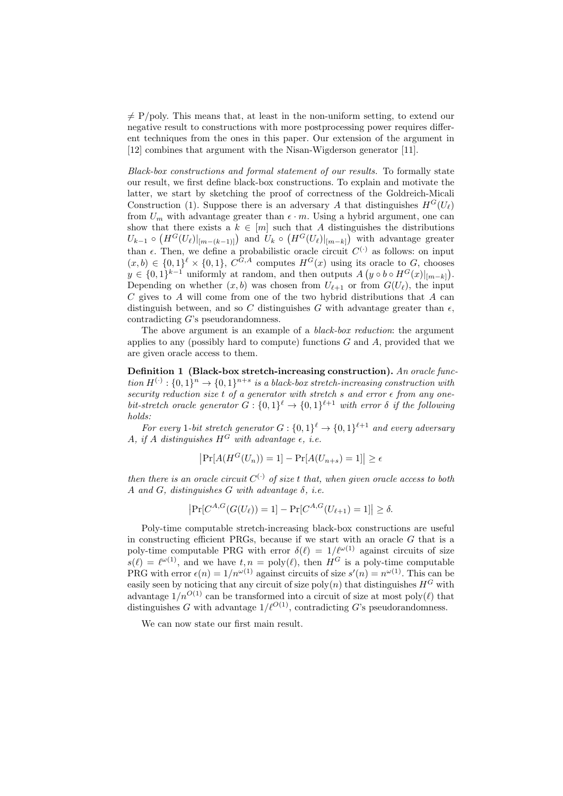$\neq$  P/poly. This means that, at least in the non-uniform setting, to extend our negative result to constructions with more postprocessing power requires different techniques from the ones in this paper. Our extension of the argument in [12] combines that argument with the Nisan-Wigderson generator [11].

Black-box constructions and formal statement of our results. To formally state our result, we first define black-box constructions. To explain and motivate the latter, we start by sketching the proof of correctness of the Goldreich-Micali Construction (1). Suppose there is an adversary A that distinguishes  $H^G(U_\ell)$ from  $U_m$  with advantage greater than  $\epsilon \cdot m$ . Using a hybrid argument, one can show that there exists a  $k \in [m]$  such that A distinguishes the distributions  $U_{k-1} \circ (H^G(U_\ell)|_{[m-(k-1)]})$  and  $U_k \circ (H^G(U_\ell)|_{[m-k]})$  with advantage greater than  $\epsilon$ . Then, we define a probabilistic oracle circuit  $C^{(\cdot)}$  as follows: on input  $(x, b) \in \{0, 1\}^{\ell} \times \{0, 1\}, C^{G,A}$  computes  $H^G(x)$  using its oracle to G, chooses  $y \in \{0,1\}^{k-1}$  uniformly at random, and then outputs  $A(y \circ b \circ H^{G}(x)|_{[m-k]})$ . Depending on whether  $(x, b)$  was chosen from  $U_{\ell+1}$  or from  $G(U_{\ell})$ , the input C gives to A will come from one of the two hybrid distributions that A can distinguish between, and so C distinguishes G with advantage greater than  $\epsilon$ , contradicting G's pseudorandomness.

The above argument is an example of a black-box reduction: the argument applies to any (possibly hard to compute) functions  $G$  and  $A$ , provided that we are given oracle access to them.

Definition 1 (Black-box stretch-increasing construction). An oracle function  $H^{(\cdot)}: \{0,1\}^n \to \{0,1\}^{n+s}$  is a black-box stretch-increasing construction with security reduction size t of a generator with stretch s and error  $\epsilon$  from any onebit-stretch oracle generator  $G: \{0,1\}^{\ell} \to \{0,1\}^{\ell+1}$  with error  $\delta$  if the following holds:

For every 1-bit stretch generator  $G: \{0,1\}^{\ell} \to \{0,1\}^{\ell+1}$  and every adversary A, if A distinguishes  $H^G$  with advantage  $\epsilon$ , i.e.

$$
\left|\Pr[A(H^G(U_n))=1]-\Pr[A(U_{n+s})=1]\right|\geq \epsilon
$$

then there is an oracle circuit  $C^{(\cdot)}$  of size t that, when given oracle access to both A and G, distinguishes G with advantage  $\delta$ , i.e.

$$
|\Pr[C^{A,G}(G(U_{\ell}))=1]-\Pr[C^{A,G}(U_{\ell+1})=1]|\geq \delta.
$$

Poly-time computable stretch-increasing black-box constructions are useful in constructing efficient PRGs, because if we start with an oracle  $G$  that is a poly-time computable PRG with error  $\delta(\ell) = 1/\ell^{\omega(1)}$  against circuits of size  $s(\ell) = \ell^{\omega(1)}$ , and we have  $t, n = \text{poly}(\ell)$ , then  $H^G$  is a poly-time computable PRG with error  $\epsilon(n) = 1/n^{\omega(1)}$  against circuits of size  $s'(n) = n^{\omega(1)}$ . This can be easily seen by noticing that any circuit of size  $poly(n)$  that distinguishes  $H^G$  with advantage  $1/n^{O(1)}$  can be transformed into a circuit of size at most poly( $\ell$ ) that distinguishes G with advantage  $1/\ell^{O(1)}$ , contradicting G's pseudorandomness.

We can now state our first main result.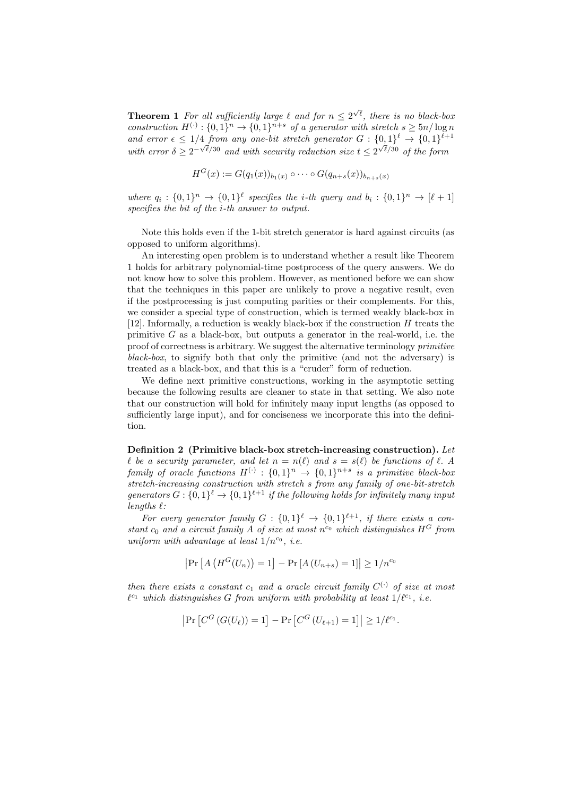**Theorem 1** For all sufficiently large  $\ell$  and for  $n \leq 2^{\sqrt{\ell}}$ , there is no black-box construction  $H^{(\cdot)}: \{0,1\}^n \to \{0,1\}^{n+s}$  of a generator with stretch  $s \geq 5n/\log n$ and error  $\epsilon \leq 1/4$  from any one-bit stretch generator  $G: \{0,1\}^{\ell} \to \{0,1\}^{\ell+1}$ with error  $\delta \geq 2^{-\sqrt{\ell}}/30$  and with security reduction size  $t \leq 2^{\sqrt{\ell}}/30$  of the form

$$
H^{G}(x) := G(q_{1}(x))_{b_{1}(x)} \circ \cdots \circ G(q_{n+s}(x))_{b_{n+s}(x)}
$$

where  $q_i : \{0,1\}^n \to \{0,1\}^{\ell}$  specifies the *i*-th query and  $b_i : \{0,1\}^n \to [\ell+1]$ specifies the bit of the i-th answer to output.

Note this holds even if the 1-bit stretch generator is hard against circuits (as opposed to uniform algorithms).

An interesting open problem is to understand whether a result like Theorem 1 holds for arbitrary polynomial-time postprocess of the query answers. We do not know how to solve this problem. However, as mentioned before we can show that the techniques in this paper are unlikely to prove a negative result, even if the postprocessing is just computing parities or their complements. For this, we consider a special type of construction, which is termed weakly black-box in [12]. Informally, a reduction is weakly black-box if the construction  $H$  treats the primitive  $G$  as a black-box, but outputs a generator in the real-world, i.e. the proof of correctness is arbitrary. We suggest the alternative terminology primitive black-box, to signify both that only the primitive (and not the adversary) is treated as a black-box, and that this is a "cruder" form of reduction.

We define next primitive constructions, working in the asymptotic setting because the following results are cleaner to state in that setting. We also note that our construction will hold for infinitely many input lengths (as opposed to sufficiently large input), and for conciseness we incorporate this into the definition.

Definition 2 (Primitive black-box stretch-increasing construction). Let  $\ell$  be a security parameter, and let  $n = n(\ell)$  and  $s = s(\ell)$  be functions of  $\ell$ . A family of oracle functions  $H^{(\cdot)}: \{0,1\}^n \rightarrow \{0,1\}^{n+s}$  is a primitive black-box stretch-increasing construction with stretch s from any family of one-bit-stretch generators  $G: \{0,1\}^{\ell} \to \{0,1\}^{\ell+1}$  if the following holds for infinitely many input lengths  $\ell$ :

For every generator family  $G: \{0,1\}^{\ell} \to \{0,1\}^{\ell+1}$ , if there exists a constant  $c_0$  and a circuit family A of size at most  $n^{c_0}$  which distinguishes  $H^G$  from uniform with advantage at least  $1/n^{c_0}$ , i.e.

$$
|\Pr [A (H^G(U_n)) = 1] - \Pr [A (U_{n+s}) = 1]| \ge 1/n^{c_0}
$$

then there exists a constant  $c_1$  and a oracle circuit family  $C^{(\cdot)}$  of size at most  $\ell^{c_1}$  which distinguishes G from uniform with probability at least  $1/\ell^{c_1}$ , i.e.

$$
|\Pr\left[C^G(G(U_\ell))=1\right]-\Pr\left[C^G(U_{\ell+1})=1\right]|\geq 1/\ell^{c_1}.
$$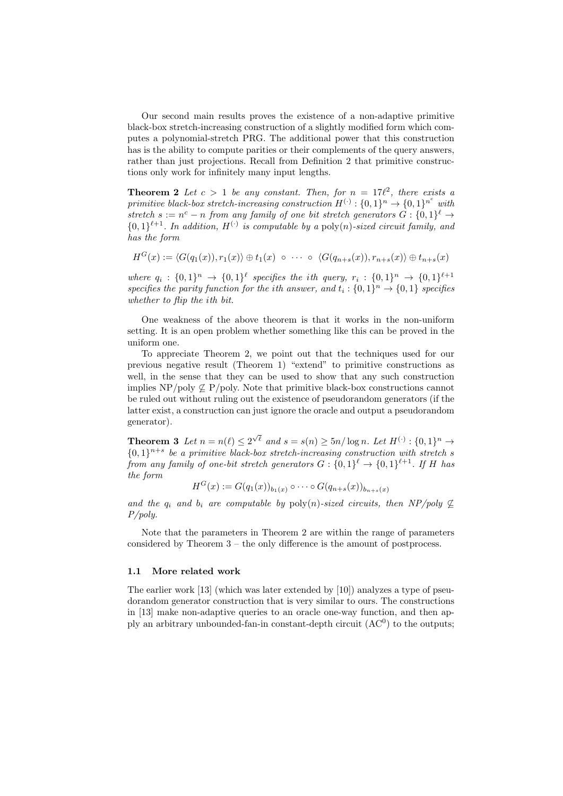Our second main results proves the existence of a non-adaptive primitive black-box stretch-increasing construction of a slightly modified form which computes a polynomial-stretch PRG. The additional power that this construction has is the ability to compute parities or their complements of the query answers, rather than just projections. Recall from Definition 2 that primitive constructions only work for infinitely many input lengths.

**Theorem 2** Let  $c > 1$  be any constant. Then, for  $n = 17\ell^2$ , there exists a primitive black-box stretch-increasing construction  $H^{(\cdot)}: \{0,1\}^n \to \{0,1\}^{n^c}$  with stretch  $s := n^c - n$  from any family of one bit stretch generators  $G : \{0,1\}^{\ell} \rightarrow$  $\{0,1\}^{\ell+1}$ . In addition,  $H^{(\cdot)}$  is computable by a poly(n)-sized circuit family, and has the form

$$
H^G(x) := \langle G(q_1(x)), r_1(x) \rangle \oplus t_1(x) \circ \cdots \circ \langle G(q_{n+s}(x)), r_{n+s}(x) \rangle \oplus t_{n+s}(x)
$$

where  $q_i: \{0,1\}^n \rightarrow \{0,1\}^{\ell}$  specifies the ith query,  $r_i: \{0,1\}^n \rightarrow \{0,1\}^{\ell+1}$ specifies the parity function for the ith answer, and  $t_i: \{0,1\}^n \to \{0,1\}$  specifies whether to flip the ith bit.

One weakness of the above theorem is that it works in the non-uniform setting. It is an open problem whether something like this can be proved in the uniform one.

To appreciate Theorem 2, we point out that the techniques used for our previous negative result (Theorem 1) "extend" to primitive constructions as well, in the sense that they can be used to show that any such construction implies  $NP/poly \nsubseteq P/poly$ . Note that primitive black-box constructions cannot be ruled out without ruling out the existence of pseudorandom generators (if the latter exist, a construction can just ignore the oracle and output a pseudorandom generator).

**Theorem 3** Let  $n = n(\ell) \leq 2^{\sqrt{\ell}}$  and  $s = s(n) \geq 5n/\log n$ . Let  $H^{(\cdot)} : \{0,1\}^n \to$  $\{0,1\}^{n+s}$  be a primitive black-box stretch-increasing construction with stretch s from any family of one-bit stretch generators  $G: \{0,1\}^{\ell} \to \{0,1\}^{\ell+1}$ . If H has the form

$$
H^{G}(x) := G(q_{1}(x))_{b_{1}(x)} \circ \cdots \circ G(q_{n+s}(x))_{b_{n+s}(x)}
$$

and the  $q_i$  and  $b_i$  are computable by  $poly(n)$ -sized circuits, then NP/poly  $\nsubseteq$ P/poly.

Note that the parameters in Theorem 2 are within the range of parameters considered by Theorem 3 – the only difference is the amount of postprocess.

#### 1.1 More related work

The earlier work [13] (which was later extended by [10]) analyzes a type of pseudorandom generator construction that is very similar to ours. The constructions in [13] make non-adaptive queries to an oracle one-way function, and then apply an arbitrary unbounded-fan-in constant-depth circuit  $(AC<sup>0</sup>)$  to the outputs;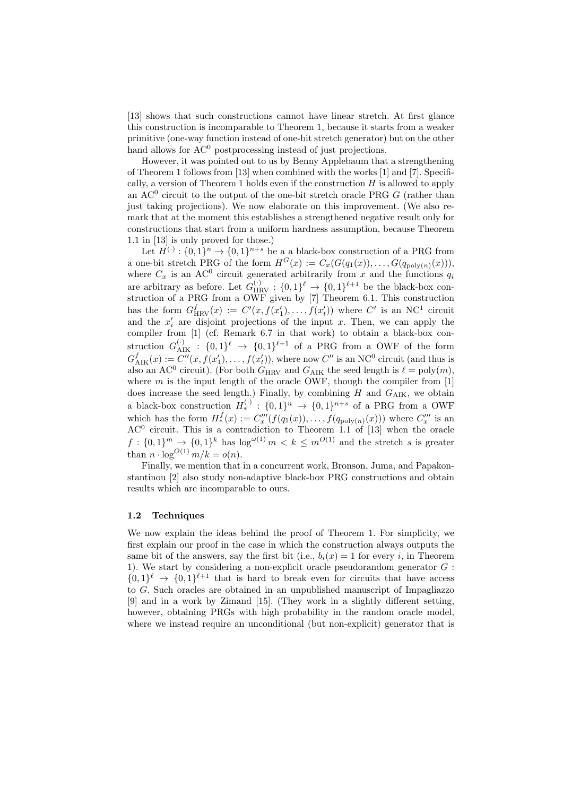[13] shows that such constructions cannot have linear stretch. At first glance this construction is incomparable to Theorem 1, because it starts from a weaker primitive (one-way function instead of one-bit stretch generator) but on the other hand allows for AC<sup>0</sup> postprocessing instead of just projections.

However, it was pointed out to us by Benny Applebaum that a strengthening of Theorem 1 follows from [13] when combined with the works [1] and [7]. Specifically, a version of Theorem 1 holds even if the construction  $H$  is allowed to apply an  $AC<sup>0</sup>$  circuit to the output of the one-bit stretch oracle PRG G (rather than just taking projections). We now elaborate on this improvement. (We also remark that at the moment this establishes a strengthened negative result only for constructions that start from a uniform hardness assumption, because Theorem 1.1 in [13] is only proved for those.)

Let  $H^{(\cdot)}: \{0,1\}^n \to \{0,1\}^{n+s}$  be a a black-box construction of a PRG from a one-bit stretch PRG of the form  $H^G(x) := C_x(G(q_1(x)), \ldots, G(q_{\text{poly}(n)}(x))),$ where  $C_x$  is an AC<sup>0</sup> circuit generated arbitrarily from x and the functions  $q_i$ are arbitrary as before. Let  $G_{HRV}^{(\cdot)}: \{0,1\}^{\ell} \to \{0,1\}^{\ell+1}$  be the black-box construction of a PRG from a OWF given by [7] Theorem 6.1. This construction has the form  $G_{HRV}^f(x) := C'(x, f(x_1'), \ldots, f(x_t'))$  where C' is an NC<sup>1</sup> circuit and the  $x_i'$  are disjoint projections of the input x. Then, we can apply the compiler from [1] (cf. Remark 6.7 in that work) to obtain a black-box construction  $G_{\text{AIK}}^{(\cdot)}$  :  $\{0,1\}^{\ell} \rightarrow \{0,1\}^{\ell+1}$  of a PRG from a OWF of the form  $G_{\text{AIK}}^{f}(x) := C''(x, f(x_1'), \ldots, f(x_t')),$  where now  $C''$  is an NC<sup>0</sup> circuit (and thus is also an AC<sup>0</sup> circuit). (For both  $G_{HRV}$  and  $G_{AIK}$  the seed length is  $\ell = \text{poly}(m)$ , where  $m$  is the input length of the oracle OWF, though the compiler from  $[1]$ does increase the seed length.) Finally, by combining  $H$  and  $G_{\text{AIK}}$ , we obtain a black-box construction  $H_*^{(\cdot)}: \{0,1\}^n \to \{0,1\}^{n+s}$  of a PRG from a OWF which has the form  $H^f_*(x) := C'''_x(f(q_1(x)), \ldots, f(q_{\text{poly}(n)}(x)))$  where  $C'''_x$  is an  $AC<sup>0</sup>$  circuit. This is a contradiction to Theorem 1.1 of [13] when the oracle  $f: \{0,1\}^m \to \{0,1\}^k$  has  $\log^{\omega(1)} m < k \leq m^{O(1)}$  and the stretch s is greater than  $n \cdot \log^{O(1)} m/k = o(n)$ .

Finally, we mention that in a concurrent work, Bronson, Juma, and Papakonstantinou [2] also study non-adaptive black-box PRG constructions and obtain results which are incomparable to ours.

### 1.2 Techniques

We now explain the ideas behind the proof of Theorem 1. For simplicity, we first explain our proof in the case in which the construction always outputs the same bit of the answers, say the first bit (i.e.,  $b_i(x) = 1$  for every i, in Theorem 1). We start by considering a non-explicit oracle pseudorandom generator  $G$ :  $\{0,1\}^{\ell} \rightarrow \{0,1\}^{\ell+1}$  that is hard to break even for circuits that have access to G. Such oracles are obtained in an unpublished manuscript of Impagliazzo [9] and in a work by Zimand [15]. (They work in a slightly different setting, however, obtaining PRGs with high probability in the random oracle model, where we instead require an unconditional (but non-explicit) generator that is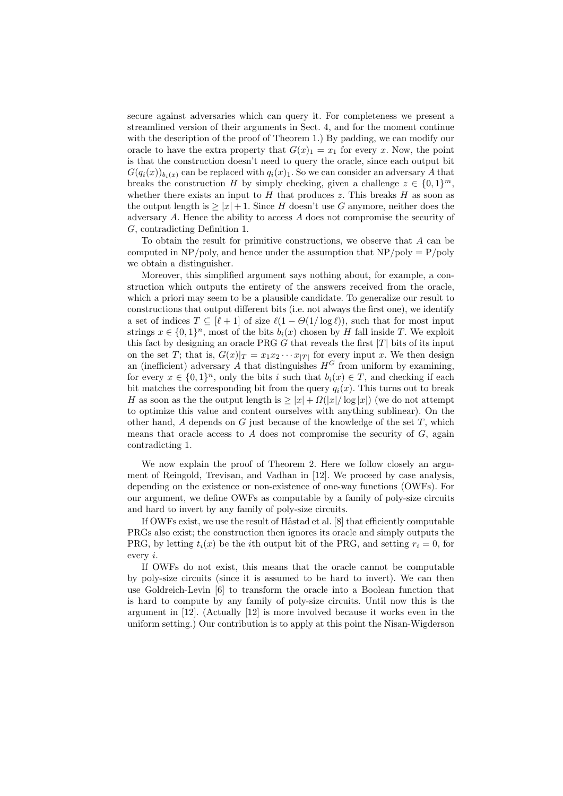secure against adversaries which can query it. For completeness we present a streamlined version of their arguments in Sect. 4, and for the moment continue with the description of the proof of Theorem 1.) By padding, we can modify our oracle to have the extra property that  $G(x)_1 = x_1$  for every x. Now, the point is that the construction doesn't need to query the oracle, since each output bit  $G(q_i(x))_{h_i(x)}$  can be replaced with  $q_i(x)_1$ . So we can consider an adversary A that breaks the construction H by simply checking, given a challenge  $z \in \{0,1\}^m$ , whether there exists an input to  $H$  that produces  $z$ . This breaks  $H$  as soon as the output length is  $\geq |x| + 1$ . Since H doesn't use G anymore, neither does the adversary A. Hence the ability to access A does not compromise the security of G, contradicting Definition 1.

To obtain the result for primitive constructions, we observe that A can be computed in NP/poly, and hence under the assumption that  $NP/poly = P/poly$ we obtain a distinguisher.

Moreover, this simplified argument says nothing about, for example, a construction which outputs the entirety of the answers received from the oracle, which a priori may seem to be a plausible candidate. To generalize our result to constructions that output different bits (i.e. not always the first one), we identify a set of indices  $T \subseteq [\ell + 1]$  of size  $\ell(1 - \Theta(1/\log \ell))$ , such that for most input strings  $x \in \{0,1\}^n$ , most of the bits  $b_i(x)$  chosen by H fall inside T. We exploit this fact by designing an oracle PRG G that reveals the first  $|T|$  bits of its input on the set T; that is,  $G(x)|_T = x_1 x_2 \cdots x_{|T|}$  for every input x. We then design an (inefficient) adversary A that distinguishes  $H<sup>G</sup>$  from uniform by examining, for every  $x \in \{0,1\}^n$ , only the bits i such that  $b_i(x) \in T$ , and checking if each bit matches the corresponding bit from the query  $q_i(x)$ . This turns out to break H as soon as the the output length is  $\geq |x| + \Omega(|x|/\log |x|)$  (we do not attempt to optimize this value and content ourselves with anything sublinear). On the other hand,  $A$  depends on  $G$  just because of the knowledge of the set  $T$ , which means that oracle access to  $A$  does not compromise the security of  $G$ , again contradicting 1.

We now explain the proof of Theorem 2. Here we follow closely an argument of Reingold, Trevisan, and Vadhan in [12]. We proceed by case analysis, depending on the existence or non-existence of one-way functions (OWFs). For our argument, we define OWFs as computable by a family of poly-size circuits and hard to invert by any family of poly-size circuits.

If OWFs exist, we use the result of Håstad et al. [8] that efficiently computable PRGs also exist; the construction then ignores its oracle and simply outputs the PRG, by letting  $t_i(x)$  be the *i*th output bit of the PRG, and setting  $r_i = 0$ , for every i.

If OWFs do not exist, this means that the oracle cannot be computable by poly-size circuits (since it is assumed to be hard to invert). We can then use Goldreich-Levin [6] to transform the oracle into a Boolean function that is hard to compute by any family of poly-size circuits. Until now this is the argument in [12]. (Actually [12] is more involved because it works even in the uniform setting.) Our contribution is to apply at this point the Nisan-Wigderson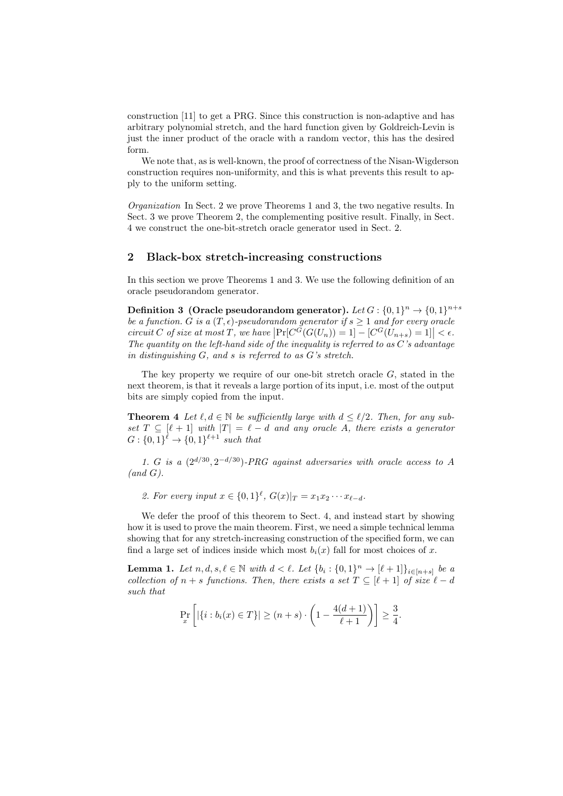construction [11] to get a PRG. Since this construction is non-adaptive and has arbitrary polynomial stretch, and the hard function given by Goldreich-Levin is just the inner product of the oracle with a random vector, this has the desired form.

We note that, as is well-known, the proof of correctness of the Nisan-Wigderson construction requires non-uniformity, and this is what prevents this result to apply to the uniform setting.

Organization In Sect. 2 we prove Theorems 1 and 3, the two negative results. In Sect. 3 we prove Theorem 2, the complementing positive result. Finally, in Sect. 4 we construct the one-bit-stretch oracle generator used in Sect. 2.

### 2 Black-box stretch-increasing constructions

In this section we prove Theorems 1 and 3. We use the following definition of an oracle pseudorandom generator.

Definition 3 (Oracle pseudorandom generator). Let  $G: \{0,1\}^n \rightarrow \{0,1\}^{n+s}$ be a function. G is a  $(T, \epsilon)$ -pseudorandom generator if  $s \geq 1$  and for every oracle circuit C of size at most T, we have  $\left|\Pr[C^G(G(U_n)) = 1] - [C^G(U_{n+s}) = 1]\right| < \epsilon$ . The quantity on the left-hand side of the inequality is referred to as  $C$ 's advantage in distinguishing G, and s is referred to as G's stretch.

The key property we require of our one-bit stretch oracle  $G$ , stated in the next theorem, is that it reveals a large portion of its input, i.e. most of the output bits are simply copied from the input.

**Theorem 4** Let  $\ell, d \in \mathbb{N}$  be sufficiently large with  $d \leq \ell/2$ . Then, for any subset  $T \subseteq [\ell + 1]$  with  $|T| = \ell - d$  and any oracle A, there exists a generator  $G: \{0,1\}^{\ell} \rightarrow \{0,1\}^{\ell+1}$  such that

1. G is a  $(2^{d/30}, 2^{-d/30})$ -PRG against adversaries with oracle access to A  $(and G).$ 

2. For every input  $x \in \{0,1\}^{\ell}$ ,  $G(x)|_T = x_1x_2 \cdots x_{\ell-d}$ .

We defer the proof of this theorem to Sect. 4, and instead start by showing how it is used to prove the main theorem. First, we need a simple technical lemma showing that for any stretch-increasing construction of the specified form, we can find a large set of indices inside which most  $b_i(x)$  fall for most choices of x.

**Lemma 1.** Let  $n, d, s, \ell \in \mathbb{N}$  with  $d < \ell$ . Let  $\{b_i : \{0, 1\}^n \to [\ell + 1]\}_{i \in [n+s]}$  be a collection of  $n + s$  functions. Then, there exists a set  $T \subseteq [\ell + 1]$  of size  $\ell - d$ such that

$$
\Pr_x \left[ |\{i : b_i(x) \in T\}| \ge (n+s) \cdot \left(1 - \frac{4(d+1)}{\ell+1}\right) \right] \ge \frac{3}{4}.
$$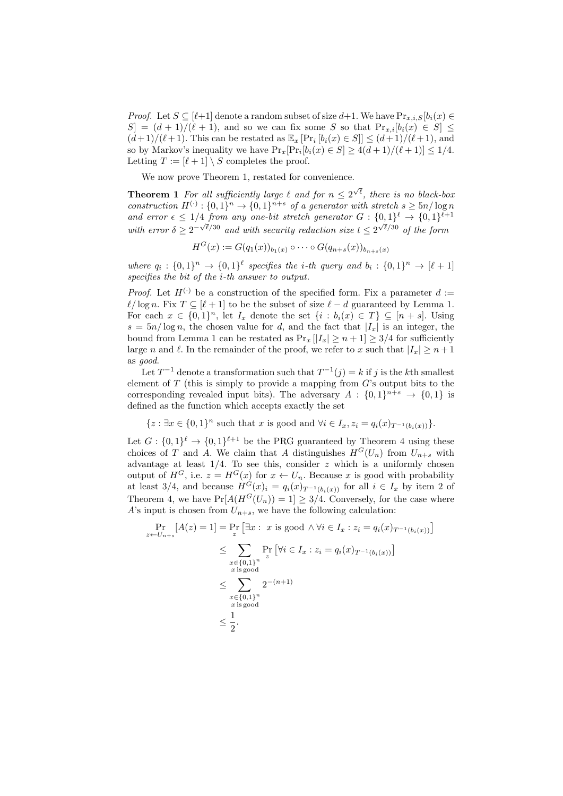*Proof.* Let  $S \subseteq [\ell+1]$  denote a random subset of size  $d+1$ . We have  $Pr_{x,i,S}[b_i(x) \in$  $|S| = (d+1)/(\ell+1)$ , and so we can fix some S so that  $Pr_{x,i}[b_i(x) \in S] \le$  $(d+1)/(\ell+1)$ . This can be restated as  $\mathbb{E}_x[p_{r_i}[b_i(x) \in S]] \leq (d+1)/(\ell+1)$ , and so by Markov's inequality we have  $Pr_x[Pr_i[b_i(x) \in S] \ge 4(d+1)/(\ell+1)] \le 1/4$ . Letting  $T := [\ell + 1] \setminus S$  completes the proof.

We now prove Theorem 1, restated for convenience.

**Theorem 1** For all sufficiently large  $\ell$  and for  $n \leq 2^{\sqrt{\ell}}$ , there is no black-box construction  $H^{(\cdot)}: \{0,1\}^n \to \{0,1\}^{n+s}$  of a generator with stretch  $s \geq 5n/\log n$ and error  $\epsilon \leq 1/4$  from any one-bit stretch generator  $G: \{0,1\}^{\ell} \to \{0,1\}^{\ell+1}$ with error  $\delta \geq 2^{-\sqrt{\ell}}/30$  and with security reduction size  $t \leq 2^{\sqrt{\ell}}/30$  of the form

 $H^G(x) := G(q_1(x))_{b_1(x)} \circ \cdots \circ G(q_{n+s}(x))_{b_{n+s}(x)}$ 

where  $q_i : \{0,1\}^n \to \{0,1\}^{\ell}$  specifies the *i*-th query and  $b_i : \{0,1\}^n \to [\ell+1]$ specifies the bit of the i-th answer to output.

*Proof.* Let  $H^{(\cdot)}$  be a construction of the specified form. Fix a parameter  $d :=$  $\ell/\log n$ . Fix  $T \subseteq [\ell + 1]$  to be the subset of size  $\ell - d$  guaranteed by Lemma 1. For each  $x \in \{0,1\}^n$ , let  $I_x$  denote the set  $\{i : b_i(x) \in T\} \subseteq [n+s]$ . Using  $s = 5n/\log n$ , the chosen value for d, and the fact that  $|I_x|$  is an integer, the bound from Lemma 1 can be restated as  $Pr_x |I_x| \ge n + 1 \ge 3/4$  for sufficiently large n and  $\ell$ . In the remainder of the proof, we refer to x such that  $|I_x| \ge n+1$ as good.

Let  $T^{-1}$  denote a transformation such that  $T^{-1}(j) = k$  if j is the kth smallest element of  $T$  (this is simply to provide a mapping from  $G$ 's output bits to the corresponding revealed input bits). The adversary  $A: \{0,1\}^{n+s} \to \{0,1\}$  is defined as the function which accepts exactly the set

 $\{z : \exists x \in \{0,1\}^n \text{ such that } x \text{ is good and } \forall i \in I_x, z_i = q_i(x)_{T^{-1}(b_i(x))}\}.$ 

Let  $G: \{0,1\}^{\ell} \to \{0,1\}^{\ell+1}$  be the PRG guaranteed by Theorem 4 using these choices of T and A. We claim that A distinguishes  $H^G(U_n)$  from  $U_{n+s}$  with advantage at least  $1/4$ . To see this, consider z which is a uniformly chosen output of  $H^G$ , i.e.  $z = H^G(x)$  for  $x \leftarrow U_n$ . Because x is good with probability at least 3/4, and because  $H^{\tilde{G}}(x)_i = q_i(x)_{T^{-1}(b_i(x))}$  for all  $i \in I_x$  by item 2 of Theorem 4, we have  $Pr[A(H^G(U_n)) = 1] \geq 3/4$ . Conversely, for the case where A's input is chosen from  $U_{n+s}$ , we have the following calculation:

$$
\Pr_{z \leftarrow U_{n+s}}[A(z) = 1] = \Pr_{z} \left[ \exists x : x \text{ is good} \land \forall i \in I_x : z_i = q_i(x)_{T^{-1}(b_i(x))} \right]
$$
\n
$$
\leq \sum_{\substack{x \in \{0,1\}^n \\ x \text{ is good}}} \Pr_{z} \left[ \forall i \in I_x : z_i = q_i(x)_{T^{-1}(b_i(x))} \right]
$$
\n
$$
\leq \sum_{\substack{x \in \{0,1\}^n \\ x \text{ is good}}} 2^{-(n+1)}
$$
\n
$$
\leq \frac{1}{2}.
$$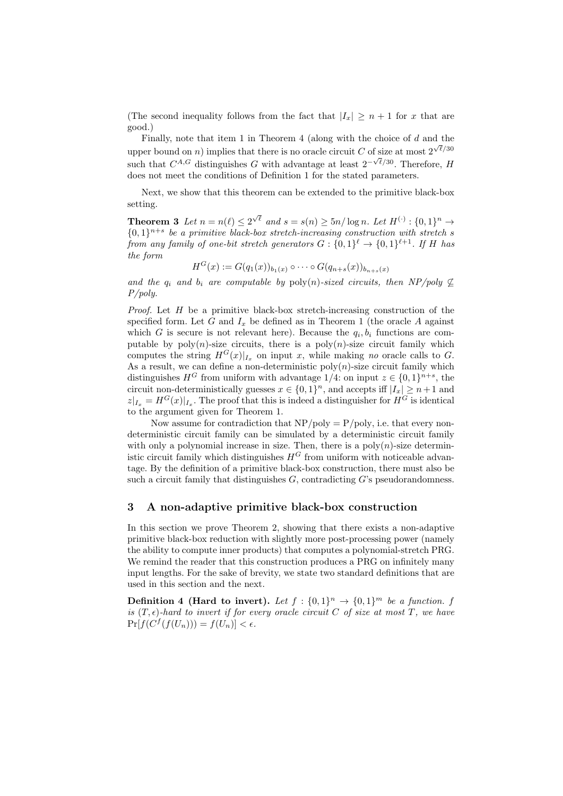(The second inequality follows from the fact that  $|I_x| \geq n+1$  for x that are good.)

Finally, note that item 1 in Theorem 4 (along with the choice of d and the upper bound on *n*) implies that there is no oracle circuit C of size at most  $2^{\sqrt{\ell}}/30$ such that  $C^{A,G}$  distinguishes G with advantage at least  $2^{-\sqrt{\ell}/30}$ . Therefore, H does not meet the conditions of Definition 1 for the stated parameters.

Next, we show that this theorem can be extended to the primitive black-box setting.

**Theorem 3** Let  $n = n(\ell) \leq 2^{\sqrt{\ell}}$  and  $s = s(n) \geq 5n/\log n$ . Let  $H^{(\cdot)} : \{0,1\}^n \to$  ${0,1}^{n+s}$  be a primitive black-box stretch-increasing construction with stretch s from any family of one-bit stretch generators  $G: \{0,1\}^{\ell} \to \{0,1\}^{\ell+1}$ . If H has the form

$$
H^{G}(x) := G(q_1(x))_{b_1(x)} \circ \cdots \circ G(q_{n+s}(x))_{b_{n+s}(x)}
$$

and the  $q_i$  and  $b_i$  are computable by  $poly(n)$ -sized circuits, then NP/poly  $\nsubseteq$ P/poly.

*Proof.* Let  $H$  be a primitive black-box stretch-increasing construction of the specified form. Let  $G$  and  $I_x$  be defined as in Theorem 1 (the oracle  $A$  against which G is secure is not relevant here). Because the  $q_i, b_i$  functions are computable by  $poly(n)$ -size circuits, there is a  $poly(n)$ -size circuit family which computes the string  $H^G(x)|_{I_x}$  on input x, while making no oracle calls to G. As a result, we can define a non-deterministic  $poly(n)$ -size circuit family which distinguishes  $H^G$  from uniform with advantage  $1/4$ : on input  $z \in \{0,1\}^{n+s}$ , the circuit non-deterministically guesses  $x \in \{0,1\}^n$ , and accepts iff  $|I_x| \geq n+1$  and  $|z|_{I_x} = H^G(x)|_{I_x}$ . The proof that this is indeed a distinguisher for  $H^G$  is identical to the argument given for Theorem 1.

Now assume for contradiction that  $NP/poly = P/poly$ , i.e. that every nondeterministic circuit family can be simulated by a deterministic circuit family with only a polynomial increase in size. Then, there is a  $\text{poly}(n)$ -size deterministic circuit family which distinguishes  $H<sup>G</sup>$  from uniform with noticeable advantage. By the definition of a primitive black-box construction, there must also be such a circuit family that distinguishes  $G$ , contradicting  $G$ 's pseudorandomness.

#### 3 A non-adaptive primitive black-box construction

In this section we prove Theorem 2, showing that there exists a non-adaptive primitive black-box reduction with slightly more post-processing power (namely the ability to compute inner products) that computes a polynomial-stretch PRG. We remind the reader that this construction produces a PRG on infinitely many input lengths. For the sake of brevity, we state two standard definitions that are used in this section and the next.

**Definition 4 (Hard to invert).** Let  $f : \{0,1\}^n \rightarrow \{0,1\}^m$  be a function. f is  $(T, \epsilon)$ -hard to invert if for every oracle circuit C of size at most T, we have  $\Pr[f(C^f(f(U_n))) = f(U_n)] < \epsilon.$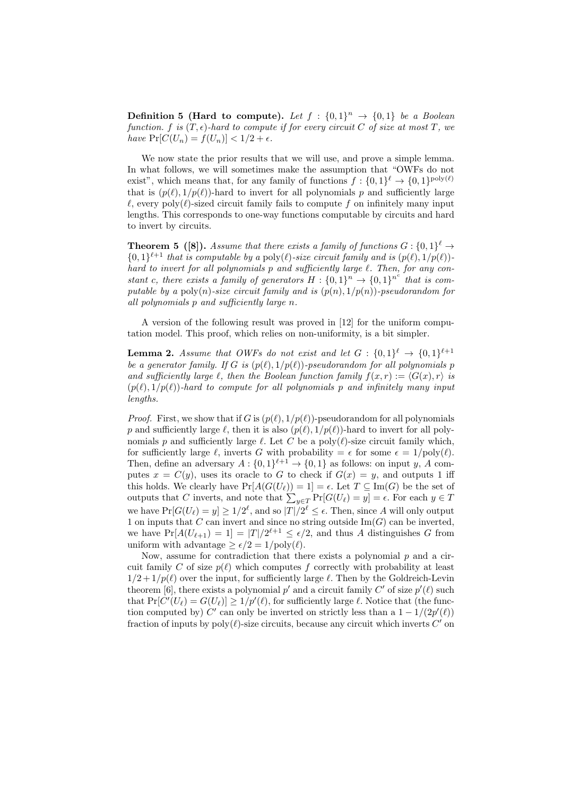**Definition 5 (Hard to compute).** Let  $f : \{0,1\}^n \rightarrow \{0,1\}$  be a Boolean function. f is  $(T, \epsilon)$ -hard to compute if for every circuit C of size at most T, we have  $Pr[C(U_n) = f(U_n)] < 1/2 + \epsilon$ .

We now state the prior results that we will use, and prove a simple lemma. In what follows, we will sometimes make the assumption that "OWFs do not exist", which means that, for any family of functions  $f: \{0,1\}^{\ell} \to \{0,1\}^{\text{poly}(\ell)}$ that is  $(p(\ell), 1/p(\ell))$ -hard to invert for all polynomials p and sufficiently large  $\ell$ , every poly( $\ell$ )-sized circuit family fails to compute f on infinitely many input lengths. This corresponds to one-way functions computable by circuits and hard to invert by circuits.

**Theorem 5** ([8]). Assume that there exists a family of functions  $G: \{0,1\}^{\ell} \rightarrow$  $\{0,1\}^{\ell+1}$  that is computable by a poly( $\ell$ )-size circuit family and is  $(p(\ell), 1/p(\ell))$ hard to invert for all polynomials  $p$  and sufficiently large  $\ell$ . Then, for any constant c, there exists a family of generators  $H: \{0,1\}^n \rightarrow \{0,1\}^{n^c}$  that is computable by a poly(n)-size circuit family and is  $(p(n), 1/p(n))$ -pseudorandom for all polynomials p and sufficiently large n.

A version of the following result was proved in [12] for the uniform computation model. This proof, which relies on non-uniformity, is a bit simpler.

**Lemma 2.** Assume that OWFs do not exist and let  $G: \{0,1\}^{\ell} \rightarrow \{0,1\}^{\ell+1}$ be a generator family. If G is  $(p(\ell), 1/p(\ell))$ -pseudorandom for all polynomials p and sufficiently large  $\ell$ , then the Boolean function family  $f(x, r) := \langle G(x), r \rangle$  is  $(p(\ell), 1/p(\ell))$ -hard to compute for all polynomials p and infinitely many input lengths.

*Proof.* First, we show that if G is  $(p(\ell), 1/p(\ell))$ -pseudorandom for all polynomials p and sufficiently large  $\ell$ , then it is also  $(p(\ell), 1/p(\ell))$ -hard to invert for all polynomials p and sufficiently large  $\ell$ . Let C be a poly $(\ell)$ -size circuit family which, for sufficiently large  $\ell$ , inverts G with probability =  $\epsilon$  for some  $\epsilon = 1/\text{poly}(\ell)$ . Then, define an adversary  $A: \{0,1\}^{\ell+1} \to \{0,1\}$  as follows: on input y, A computes  $x = C(y)$ , uses its oracle to G to check if  $G(x) = y$ , and outputs 1 iff this holds. We clearly have  $Pr[A(G(U_{\ell})) = 1] = \epsilon$ . Let  $T \subseteq Im(G)$  be the set of outputs that C inverts, and note that  $\sum_{y \in T} \Pr[G(U_\ell) = y] = \epsilon$ . For each  $y \in T$ we have  $Pr[G(U_\ell) = y] \ge 1/2^\ell$ , and so  $|T|/2^\ell \le \epsilon$ . Then, since A will only output 1 on inputs that  $C$  can invert and since no string outside  $\text{Im}(G)$  can be inverted, we have  $Pr[A(U_{\ell+1}) = 1] = |T|/2^{\ell+1} \leq \epsilon/2$ , and thus A distinguishes G from uniform with advantage  $\geq \epsilon/2 = 1/\text{poly}(\ell)$ .

Now, assume for contradiction that there exists a polynomial  $p$  and a circuit family C of size  $p(\ell)$  which computes f correctly with probability at least  $1/2 + 1/p(\ell)$  over the input, for sufficiently large  $\ell$ . Then by the Goldreich-Levin theorem [6], there exists a polynomial  $p'$  and a circuit family  $C'$  of size  $p'(\ell)$  such that  $Pr[C'(U_\ell) = G(U_\ell)] \ge 1/p'(\ell)$ , for sufficiently large  $\ell$ . Notice that (the function computed by) C' can only be inverted on strictly less than a  $1 - 1/(2p'(\ell))$ fraction of inputs by  $poly(\ell)$ -size circuits, because any circuit which inverts  $C'$  on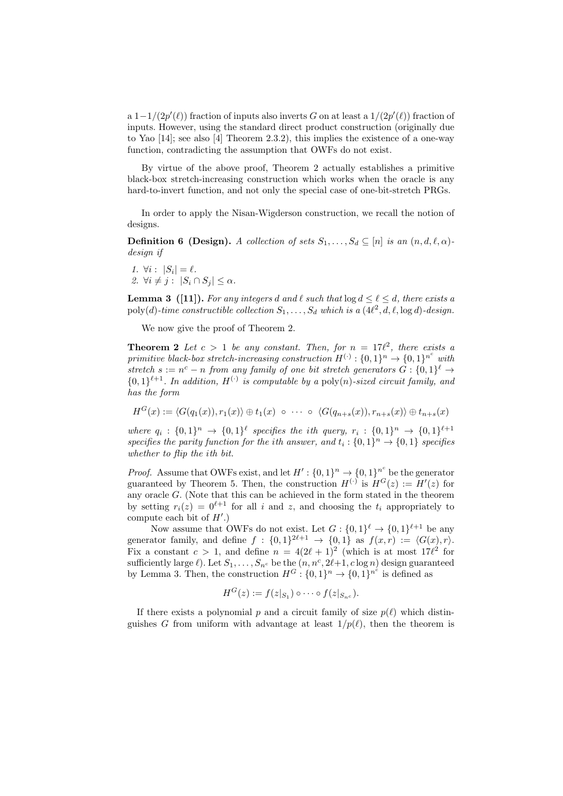a  $1-1/(2p'(\ell))$  fraction of inputs also inverts G on at least a  $1/(2p'(\ell))$  fraction of inputs. However, using the standard direct product construction (originally due to Yao [14]; see also [4] Theorem 2.3.2), this implies the existence of a one-way function, contradicting the assumption that OWFs do not exist.

By virtue of the above proof, Theorem 2 actually establishes a primitive black-box stretch-increasing construction which works when the oracle is any hard-to-invert function, and not only the special case of one-bit-stretch PRGs.

In order to apply the Nisan-Wigderson construction, we recall the notion of designs.

**Definition 6 (Design).** A collection of sets  $S_1, \ldots, S_d \subseteq [n]$  is an  $(n, d, \ell, \alpha)$ design if

1. 
$$
\forall i : |S_i| = \ell
$$
.  
2.  $\forall i \neq j : |S_i \cap S_j| \leq \alpha$ .

**Lemma 3** ([11]). For any integers d and  $\ell$  such that  $\log d \leq \ell \leq d$ , there exists a  $poly(d)\text{-}time\ constructible\ collection\ S_1,\ldots,S_d\ which\ is\ a\ (4\ell^2,d,\ell,\log d)\text{-}design.$ 

We now give the proof of Theorem 2.

**Theorem 2** Let  $c > 1$  be any constant. Then, for  $n = 17\ell^2$ , there exists a primitive black-box stretch-increasing construction  $H^{(\cdot)}: \{0,1\}^n \rightarrow \{0,1\}^{n^c}$  with stretch  $s := n^c - n$  from any family of one bit stretch generators  $G : \{0,1\}^{\ell} \rightarrow$  $\{0,1\}^{\ell+1}$ . In addition,  $H^{(\cdot)}$  is computable by a poly(n)-sized circuit family, and has the form

$$
H^G(x) := \langle G(q_1(x)), r_1(x) \rangle \oplus t_1(x) \circ \cdots \circ \langle G(q_{n+s}(x)), r_{n+s}(x) \rangle \oplus t_{n+s}(x)
$$

where  $q_i: \{0,1\}^n \rightarrow \{0,1\}^{\ell}$  specifies the ith query,  $r_i: \{0,1\}^n \rightarrow \{0,1\}^{\ell+1}$ specifies the parity function for the ith answer, and  $t_i: \{0,1\}^n \to \{0,1\}$  specifies whether to flip the ith bit.

*Proof.* Assume that OWFs exist, and let  $H' : \{0,1\}^n \to \{0,1\}^n$ <sup>e</sup> be the generator guaranteed by Theorem 5. Then, the construction  $H^{(\cdot)}$  is  $H^{G}(z) := H'(z)$  for any oracle  $G$ . (Note that this can be achieved in the form stated in the theorem by setting  $r_i(z) = 0^{\ell+1}$  for all i and z, and choosing the  $t_i$  appropriately to compute each bit of  $H'$ .)

Now assume that OWFs do not exist. Let  $G: \{0,1\}^{\ell} \to \{0,1\}^{\ell+1}$  be any generator family, and define  $f: \{0,1\}^{2\ell+1} \to \{0,1\}$  as  $f(x,r) := \langle G(x), r \rangle$ . Fix a constant  $c > 1$ , and define  $n = 4(2\ell + 1)^2$  (which is at most  $17\ell^2$  for sufficiently large  $\ell$ ). Let  $S_1, \ldots, S_{n^c}$  be the  $(n, n^c, 2\ell+1, c \log n)$  design guaranteed by Lemma 3. Then, the construction  $H^G: \{0,1\}^n \to \{0,1\}^{n^c}$  is defined as

$$
H^G(z) := f(z|_{S_1}) \circ \cdots \circ f(z|_{S_n c}).
$$

If there exists a polynomial p and a circuit family of size  $p(\ell)$  which distinguishes G from uniform with advantage at least  $1/p(\ell)$ , then the theorem is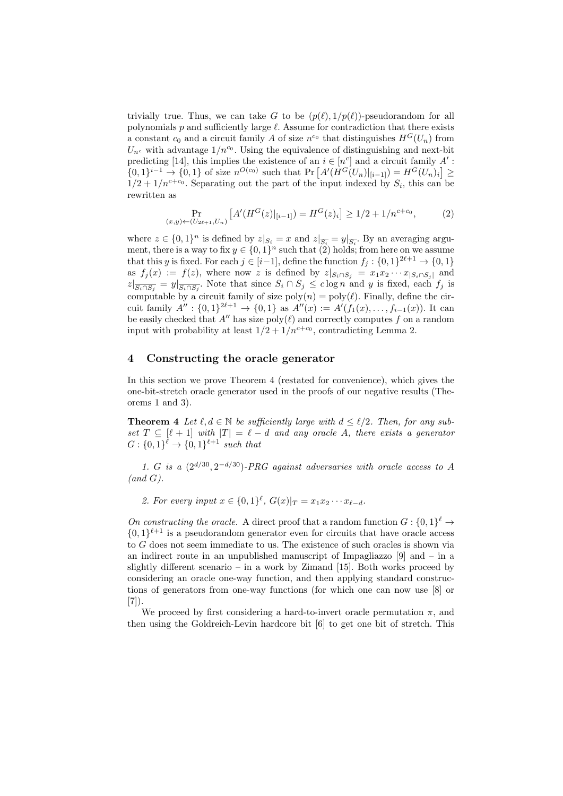trivially true. Thus, we can take G to be  $(p(\ell), 1/p(\ell))$ -pseudorandom for all polynomials p and sufficiently large  $\ell$ . Assume for contradiction that there exists a constant  $c_0$  and a circuit family A of size  $n^{c_0}$  that distinguishes  $H^G(U_n)$  from  $U_{n^c}$  with advantage  $1/n^{c_0}$ . Using the equivalence of distinguishing and next-bit predicting [14], this implies the existence of an  $i \in [n^c]$  and a circuit family  $A'$ :  $\{0,1\}^{i-1} \to \{0,1\}$  of size  $n^{O(c_0)}$  such that  $Pr\left[A'(H^G(U_n)|_{[i-1]}) = H^G(U_n)_i\right] \ge$  $1/2 + 1/n^{c+c_0}$ . Separating out the part of the input indexed by  $S_i$ , this can be rewritten as

$$
\Pr_{(x,y)\leftarrow (U_{2\ell+1},U_n)} \left[ A'(H^G(z)|_{[i-1]}) = H^G(z)_i \right] \ge 1/2 + 1/n^{c+c_0},\tag{2}
$$

where  $z \in \{0,1\}^n$  is defined by  $z|_{S_i} = x$  and  $z|_{\overline{S_i}} = y|_{\overline{S_i}}$ . By an averaging argument, there is a way to fix  $y \in \{0,1\}^n$  such that  $(2)$  holds; from here on we assume that this y is fixed. For each  $j \in [i-1]$ , define the function  $f_j : \{0,1\}^{2\ell+1} \to \{0,1\}$ as  $f_j(x) := f(z)$ , where now z is defined by  $z|_{S_i \cap S_j} = x_1 x_2 \cdots x_{|S_i \cap S_j|}$  and  $z|_{\overline{S_i \cap S_j}} = y|_{\overline{S_i \cap S_j}}$ . Note that since  $S_i \cap S_j \leq c \log n$  and y is fixed, each  $f_j$  is computable by a circuit family of size  $poly(n) = poly(\ell)$ . Finally, define the circuit family  $A'': \{0,1\}^{2\ell+1} \to \{0,1\}$  as  $A''(x) := A'(f_1(x), \ldots, f_{i-1}(x))$ . It can be easily checked that  $A''$  has size poly( $\ell$ ) and correctly computes f on a random input with probability at least  $1/2 + 1/n^{c+c_0}$ , contradicting Lemma 2.

# 4 Constructing the oracle generator

In this section we prove Theorem 4 (restated for convenience), which gives the one-bit-stretch oracle generator used in the proofs of our negative results (Theorems 1 and 3).

**Theorem 4** Let  $\ell, d \in \mathbb{N}$  be sufficiently large with  $d \leq \ell/2$ . Then, for any subset  $T \subseteq [\ell + 1]$  with  $|T| = \ell - d$  and any oracle  $\overline{A}$ , there exists a generator  $G: \{0,1\}^{\ell} \rightarrow \{0,1\}^{\ell+1}$  such that

1. G is a  $(2^{d/30}, 2^{-d/30})$ -PRG against adversaries with oracle access to A  $(and G).$ 

2. For every input  $x \in \{0,1\}^{\ell}$ ,  $G(x)|_T = x_1 x_2 \cdots x_{\ell-d}$ .

On constructing the oracle. A direct proof that a random function  $G: \{0,1\}^{\ell} \rightarrow$  $\{0,1\}^{\ell+1}$  is a pseudorandom generator even for circuits that have oracle access to G does not seem immediate to us. The existence of such oracles is shown via an indirect route in an unpublished manuscript of Impagliazzo  $[9]$  and  $-$  in a slightly different scenario – in a work by Zimand [15]. Both works proceed by considering an oracle one-way function, and then applying standard constructions of generators from one-way functions (for which one can now use [8] or  $[7]$ .

We proceed by first considering a hard-to-invert oracle permutation  $\pi$ , and then using the Goldreich-Levin hardcore bit [6] to get one bit of stretch. This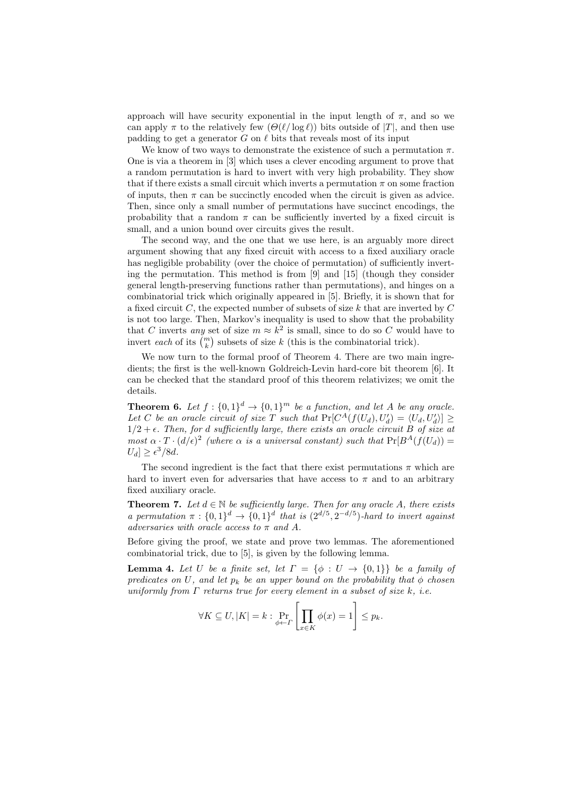approach will have security exponential in the input length of  $\pi$ , and so we can apply  $\pi$  to the relatively few  $(\Theta(\ell/\log \ell))$  bits outside of  $|T|$ , and then use padding to get a generator  $G$  on  $\ell$  bits that reveals most of its input

We know of two ways to demonstrate the existence of such a permutation  $\pi$ . One is via a theorem in [3] which uses a clever encoding argument to prove that a random permutation is hard to invert with very high probability. They show that if there exists a small circuit which inverts a permutation  $\pi$  on some fraction of inputs, then  $\pi$  can be succinctly encoded when the circuit is given as advice. Then, since only a small number of permutations have succinct encodings, the probability that a random  $\pi$  can be sufficiently inverted by a fixed circuit is small, and a union bound over circuits gives the result.

The second way, and the one that we use here, is an arguably more direct argument showing that any fixed circuit with access to a fixed auxiliary oracle has negligible probability (over the choice of permutation) of sufficiently inverting the permutation. This method is from [9] and [15] (though they consider general length-preserving functions rather than permutations), and hinges on a combinatorial trick which originally appeared in [5]. Briefly, it is shown that for a fixed circuit  $C$ , the expected number of subsets of size k that are inverted by  $C$ is not too large. Then, Markov's inequality is used to show that the probability that C inverts any set of size  $m \approx k^2$  is small, since to do so C would have to invert each of its  $\binom{m}{k}$  subsets of size k (this is the combinatorial trick).

We now turn to the formal proof of Theorem 4. There are two main ingredients; the first is the well-known Goldreich-Levin hard-core bit theorem [6]. It can be checked that the standard proof of this theorem relativizes; we omit the details.

**Theorem 6.** Let  $f: \{0,1\}^d \to \{0,1\}^m$  be a function, and let A be any oracle. Let C be an oracle circuit of size T such that  $Pr[C^A(f(U_d), U'_d) = \langle U_d, U'_d \rangle] \ge$  $1/2 + \epsilon$ . Then, for d sufficiently large, there exists an oracle circuit B of size at most  $\alpha \cdot T \cdot (d/\epsilon)^2$  (where  $\alpha$  is a universal constant) such that  $Pr[B^A(f(U_d))]$  $[U_d] \geq \epsilon^3/8d.$ 

The second ingredient is the fact that there exist permutations  $\pi$  which are hard to invert even for adversaries that have access to  $\pi$  and to an arbitrary fixed auxiliary oracle.

**Theorem 7.** Let  $d \in \mathbb{N}$  be sufficiently large. Then for any oracle A, there exists a permutation  $\pi: \{0,1\}^d \to \{0,1\}^d$  that is  $(2^{d/5}, 2^{-d/5})$ -hard to invert against adversaries with oracle access to  $\pi$  and A.

Before giving the proof, we state and prove two lemmas. The aforementioned combinatorial trick, due to [5], is given by the following lemma.

**Lemma 4.** Let U be a finite set, let  $\Gamma = \{\phi : U \to \{0,1\}\}\$ be a family of predicates on U, and let  $p_k$  be an upper bound on the probability that  $\phi$  chosen uniformly from  $\Gamma$  returns true for every element in a subset of size k, i.e.

$$
\forall K \subseteq U, |K| = k : \Pr_{\phi \leftarrow \Gamma} \left[ \prod_{x \in K} \phi(x) = 1 \right] \leq p_k.
$$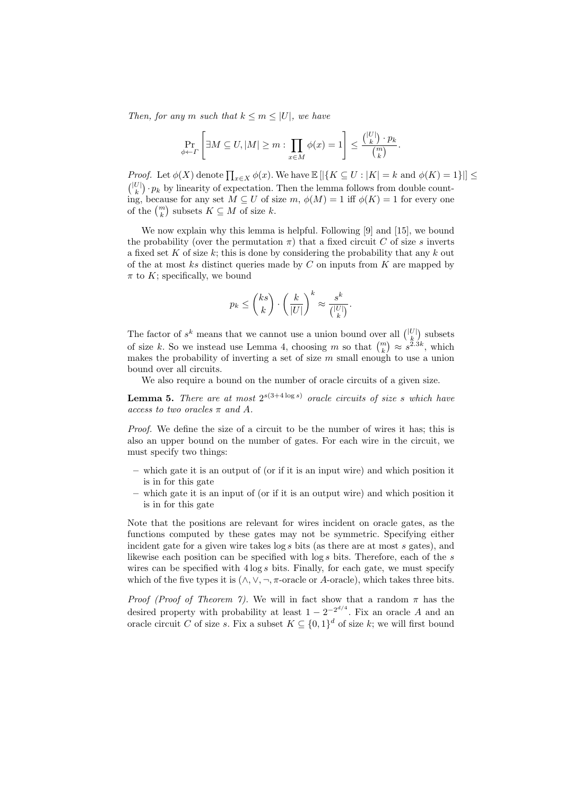Then, for any m such that  $k \le m \le |U|$ , we have

$$
\Pr_{\phi \leftarrow \Gamma} \left[ \exists M \subseteq U, |M| \ge m : \prod_{x \in M} \phi(x) = 1 \right] \le \frac{\binom{|U|}{k} \cdot p_k}{\binom{m}{k}}.
$$

*Proof.* Let  $\phi(X)$  denote  $\prod_{x \in X} \phi(x)$ . We have  $\mathbb{E} [|\{K \subseteq U : |K| = k \text{ and } \phi(K) = 1\}|] \le$  $\binom{|U|}{k} \cdot p_k$  by linearity of expectation. Then the lemma follows from double counting, because for any set  $M \subseteq U$  of size  $m, \phi(M) = 1$  iff  $\phi(K) = 1$  for every one of the  $\binom{m}{k}$  subsets  $K \subseteq M$  of size k.

We now explain why this lemma is helpful. Following [9] and [15], we bound the probability (over the permutation  $\pi$ ) that a fixed circuit C of size s inverts a fixed set K of size  $k$ ; this is done by considering the probability that any  $k$  out of the at most ks distinct queries made by  $C$  on inputs from  $K$  are mapped by  $\pi$  to K; specifically, we bound

$$
p_k \leq \binom{ks}{k} \cdot \left(\frac{k}{|U|}\right)^k \approx \frac{s^k}{\binom{|U|}{k}}.
$$

The factor of  $s^k$  means that we cannot use a union bound over all  $\binom{|U|}{k}$  subsets of size k. So we instead use Lemma 4, choosing m so that  $\binom{m}{k} \approx s^{2.3k}$ , which makes the probability of inverting a set of size m small enough to use a union bound over all circuits.

We also require a bound on the number of oracle circuits of a given size.

**Lemma 5.** There are at most  $2^{s(3+4\log s)}$  oracle circuits of size s which have access to two oracles  $\pi$  and A.

*Proof.* We define the size of a circuit to be the number of wires it has; this is also an upper bound on the number of gates. For each wire in the circuit, we must specify two things:

- which gate it is an output of (or if it is an input wire) and which position it is in for this gate
- which gate it is an input of (or if it is an output wire) and which position it is in for this gate

Note that the positions are relevant for wires incident on oracle gates, as the functions computed by these gates may not be symmetric. Specifying either incident gate for a given wire takes  $\log s$  bits (as there are at most s gates), and likewise each position can be specified with  $\log s$  bits. Therefore, each of the s wires can be specified with  $4 \log s$  bits. Finally, for each gate, we must specify which of the five types it is  $(\wedge, \vee, \neg, \pi\text{-oracle or }A\text{-oracle})$ , which takes three bits.

*Proof (Proof of Theorem 7).* We will in fact show that a random  $\pi$  has the desired property with probability at least  $1 - 2^{-2^{d/4}}$ . Fix an oracle A and an oracle circuit C of size s. Fix a subset  $K \subseteq \{0,1\}^d$  of size k; we will first bound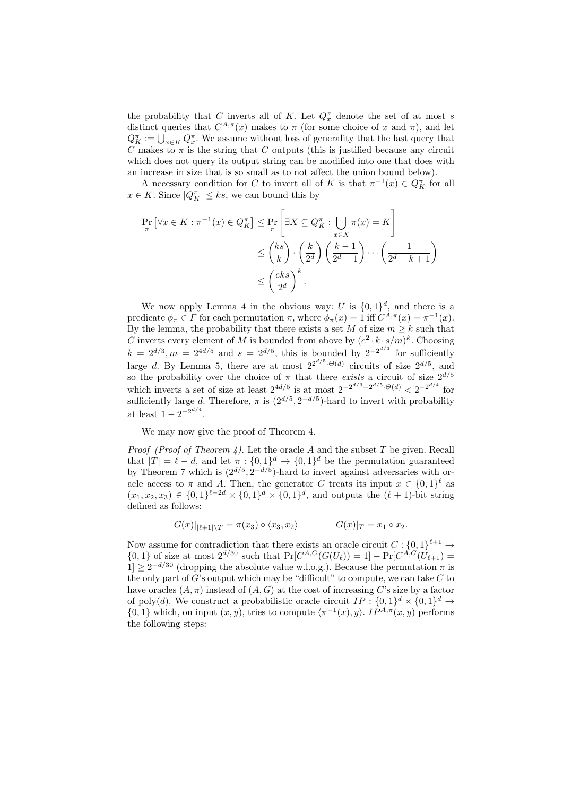the probability that C inverts all of K. Let  $Q_x^{\pi}$  denote the set of at most s distinct queries that  $C^{A,\pi}(x)$  makes to  $\pi$  (for some choice of x and  $\pi$ ), and let  $Q_K^{\pi} := \bigcup_{x \in K} Q_x^{\pi}$ . We assume without loss of generality that the last query that C makes to  $\pi$  is the string that C outputs (this is justified because any circuit which does not query its output string can be modified into one that does with an increase in size that is so small as to not affect the union bound below).

A necessary condition for C to invert all of K is that  $\pi^{-1}(x) \in Q_K^{\pi}$  for all  $x \in K$ . Since  $|Q_K^{\pi}| \leq ks$ , we can bound this by

$$
\Pr_{\pi} \left[ \forall x \in K : \pi^{-1}(x) \in Q_K^{\pi} \right] \le \Pr_{\pi} \left[ \exists X \subseteq Q_K^{\pi} : \bigcup_{x \in X} \pi(x) = K \right] \\
\le \binom{ks}{k} \cdot \left( \frac{k}{2^d} \right) \left( \frac{k-1}{2^d-1} \right) \cdots \left( \frac{1}{2^d-k+1} \right) \\
\le \left( \frac{eks}{2^d} \right)^k.
$$

We now apply Lemma 4 in the obvious way: U is  $\{0,1\}^d$ , and there is a predicate  $\phi_{\pi} \in \Gamma$  for each permutation  $\pi$ , where  $\phi_{\pi}(x) = 1$  iff  $C^{A,\pi}(x) = \pi^{-1}(x)$ . By the lemma, the probability that there exists a set M of size  $m \geq k$  such that C inverts every element of M is bounded from above by  $(e^2 \cdot k \cdot s/m)^k$ . Choosing  $k = 2^{d/3}, m = 2^{4d/5}$  and  $s = 2^{d/5}$ , this is bounded by  $2^{-2^{d/3}}$  for sufficiently large d. By Lemma 5, there are at most  $2^{2^{d/5} \cdot \Theta(d)}$  circuits of size  $2^{d/5}$ , and so the probability over the choice of  $\pi$  that there exists a circuit of size  $2^{d/5}$ which inverts a set of size at least  $2^{4d/5}$  is at most  $2^{-2^{d/3}+2^{d/5}\cdot\Theta(d)} < 2^{-2^{d/4}}$  for sufficiently large d. Therefore,  $\pi$  is  $(2^{d/5}, 2^{-d/5})$ -hard to invert with probability at least  $1 - 2^{-2^{d/4}}$ .

We may now give the proof of Theorem 4.

*Proof (Proof of Theorem 4).* Let the oracle A and the subset T be given. Recall that  $|T| = \ell - d$ , and let  $\pi : \{0,1\}^d \to \{0,1\}^d$  be the permutation guaranteed by Theorem 7 which is  $(2^{d/5}, 2^{-d/5})$ -hard to invert against adversaries with oracle access to  $\pi$  and A. Then, the generator G treats its input  $x \in \{0,1\}^{\ell}$  as  $(x_1, x_2, x_3) \in \{0, 1\}^{\ell - 2d} \times \{0, 1\}^d \times \{0, 1\}^d$ , and outputs the  $(\ell + 1)$ -bit string defined as follows:

 $G(x)|_{[\ell+1]\setminus T} = \pi(x_3) \circ \langle x_3, x_2 \rangle$   $G(x)|_T = x_1 \circ x_2.$ 

Now assume for contradiction that there exists an oracle circuit  $C: \{0,1\}^{\ell+1} \to$  $\{0,1\}$  of size at most  $2^{d/30}$  such that  $Pr[C^{A,G}(G(U_{\ell}))] = 1] - Pr[C^{A,G}(U_{\ell+1})]$  $1 \geq 2^{-d/30}$  (dropping the absolute value w.l.o.g.). Because the permutation  $\pi$  is the only part of  $G$ 's output which may be "difficult" to compute, we can take  $C$  to have oracles  $(A, \pi)$  instead of  $(A, G)$  at the cost of increasing C's size by a factor of poly(d). We construct a probabilistic oracle circuit  $IP: \{0,1\}^d \times \{0,1\}^d \rightarrow$  $\{0,1\}$  which, on input  $(x, y)$ , tries to compute  $\langle \pi^{-1}(x), y \rangle$ . IP<sup>A, $\pi(x, y)$ </sup> performs the following steps: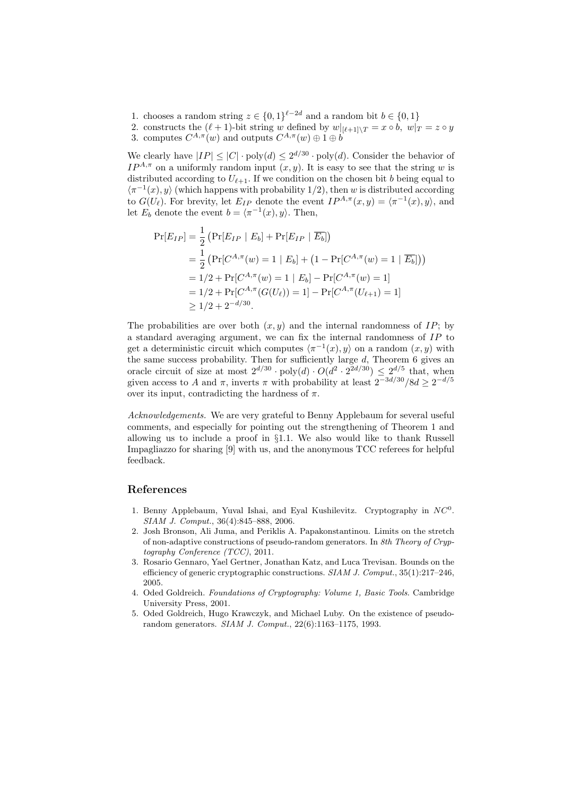- 1. chooses a random string  $z \in \{0,1\}^{\ell-2d}$  and a random bit  $b \in \{0,1\}$
- 2. constructs the  $(\ell + 1)$ -bit string w defined by  $w|_{[\ell+1]\setminus T} = x \circ b$ ,  $w|_{T} = z \circ y$
- 3. computes  $C^{A,\pi}(w)$  and outputs  $C^{A,\pi}(w) \oplus 1 \oplus b$

We clearly have  $|IP| \leq |C| \cdot \text{poly}(d) \leq 2^{d/30} \cdot \text{poly}(d)$ . Consider the behavior of  $IP^{A,\pi}$  on a uniformly random input  $(x, y)$ . It is easy to see that the string w is distributed according to  $U_{\ell+1}$ . If we condition on the chosen bit b being equal to  $\langle \pi^{-1}(x), y \rangle$  (which happens with probability 1/2), then w is distributed according to  $G(U_{\ell})$ . For brevity, let  $E_{IP}$  denote the event  $IP^{A,\pi}(x,y) = \langle \pi^{-1}(x), y \rangle$ , and let  $E_b$  denote the event  $b = \langle \pi^{-1}(x), y \rangle$ . Then,

$$
Pr[E_{IP}] = \frac{1}{2} \left( Pr[E_{IP} | E_b] + Pr[E_{IP} | \overline{E_b}] \right)
$$
  
=  $\frac{1}{2} \left( Pr[C^{A,\pi}(w) = 1 | E_b] + (1 - Pr[C^{A,\pi}(w) = 1 | \overline{E_b}]) \right)$   
=  $1/2 + Pr[C^{A,\pi}(w) = 1 | E_b] - Pr[C^{A,\pi}(w) = 1]$   
=  $1/2 + Pr[C^{A,\pi}(G(U_{\ell})) = 1] - Pr[C^{A,\pi}(U_{\ell+1}) = 1]$   
 $\ge 1/2 + 2^{-d/30}.$ 

The probabilities are over both  $(x, y)$  and the internal randomness of IP; by a standard averaging argument, we can fix the internal randomness of IP to get a deterministic circuit which computes  $\langle \pi^{-1}(x), y \rangle$  on a random  $(x, y)$  with the same success probability. Then for sufficiently large  $d$ , Theorem  $6$  gives an oracle circuit of size at most  $2^{d/30} \cdot \text{poly}(d) \cdot O(d^2 \cdot 2^{2d/30}) \leq 2^{d/5}$  that, when given access to A and  $\pi$ , inverts  $\pi$  with probability at least  $2^{-3d/30}/8d \geq 2^{-d/5}$ over its input, contradicting the hardness of  $\pi$ .

Acknowledgements. We are very grateful to Benny Applebaum for several useful comments, and especially for pointing out the strengthening of Theorem 1 and allowing us to include a proof in §1.1. We also would like to thank Russell Impagliazzo for sharing [9] with us, and the anonymous TCC referees for helpful feedback.

#### References

- 1. Benny Applebaum, Yuval Ishai, and Eyal Kushilevitz. Cryptography in  $NC<sup>0</sup>$ . SIAM J. Comput., 36(4):845–888, 2006.
- 2. Josh Bronson, Ali Juma, and Periklis A. Papakonstantinou. Limits on the stretch of non-adaptive constructions of pseudo-random generators. In 8th Theory of Cryptography Conference (TCC), 2011.
- 3. Rosario Gennaro, Yael Gertner, Jonathan Katz, and Luca Trevisan. Bounds on the efficiency of generic cryptographic constructions. SIAM J. Comput., 35(1):217–246, 2005.
- 4. Oded Goldreich. Foundations of Cryptography: Volume 1, Basic Tools. Cambridge University Press, 2001.
- 5. Oded Goldreich, Hugo Krawczyk, and Michael Luby. On the existence of pseudorandom generators. SIAM J. Comput., 22(6):1163–1175, 1993.